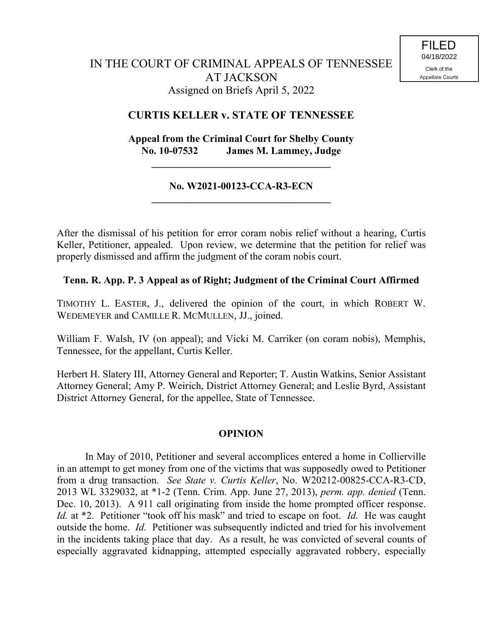## **CURTIS KELLER v. STATE OF TENNESSEE**

# **Appeal from the Criminal Court for Shelby County No. 10-07532 James M. Lammey, Judge**

**\_\_\_\_\_\_\_\_\_\_\_\_\_\_\_\_\_\_\_\_\_\_\_\_\_\_\_\_\_\_\_\_\_\_\_**

## **No. W2021-00123-CCA-R3-ECN \_\_\_\_\_\_\_\_\_\_\_\_\_\_\_\_\_\_\_\_\_\_\_\_\_\_\_\_\_\_\_\_\_\_\_**

After the dismissal of his petition for error coram nobis relief without a hearing, Curtis Keller, Petitioner, appealed. Upon review, we determine that the petition for relief was properly dismissed and affirm the judgment of the coram nobis court.

## **Tenn. R. App. P. 3 Appeal as of Right; Judgment of the Criminal Court Affirmed**

TIMOTHY L. EASTER, J., delivered the opinion of the court, in which ROBERT W. WEDEMEYER and CAMILLE R. MCMULLEN, JJ., joined.

William F. Walsh, IV (on appeal); and Vicki M. Carriker (on coram nobis), Memphis, Tennessee, for the appellant, Curtis Keller.

Herbert H. Slatery III, Attorney General and Reporter; T. Austin Watkins, Senior Assistant Attorney General; Amy P. Weirich, District Attorney General; and Leslie Byrd, Assistant District Attorney General, for the appellee, State of Tennessee.

## **OPINION**

In May of 2010, Petitioner and several accomplices entered a home in Collierville in an attempt to get money from one of the victims that was supposedly owed to Petitioner from a drug transaction. *See State v. Curtis Keller*, No. W20212-00825-CCA-R3-CD, 2013 WL 3329032, at \*1-2 (Tenn. Crim. App. June 27, 2013), *perm. app. denied* (Tenn. Dec. 10, 2013). A 911 call originating from inside the home prompted officer response. *Id.* at \*2. Petitioner "took off his mask" and tried to escape on foot. *Id.* He was caught outside the home. *Id.* Petitioner was subsequently indicted and tried for his involvement in the incidents taking place that day. As a result, he was convicted of several counts of especially aggravated kidnapping, attempted especially aggravated robbery, especially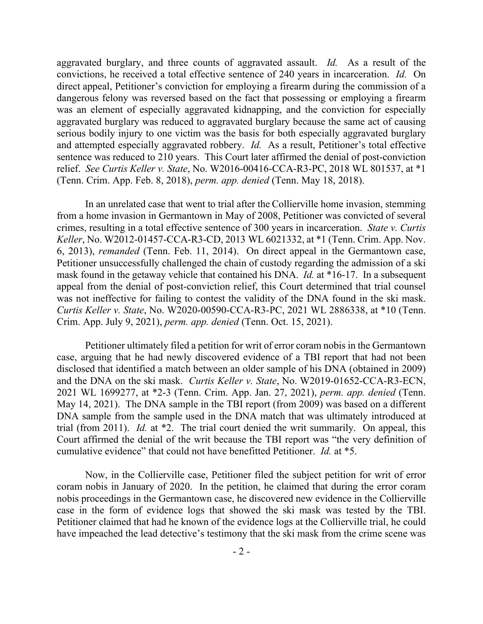aggravated burglary, and three counts of aggravated assault. *Id.* As a result of the convictions, he received a total effective sentence of 240 years in incarceration. *Id.* On direct appeal, Petitioner's conviction for employing a firearm during the commission of a dangerous felony was reversed based on the fact that possessing or employing a firearm was an element of especially aggravated kidnapping, and the conviction for especially aggravated burglary was reduced to aggravated burglary because the same act of causing serious bodily injury to one victim was the basis for both especially aggravated burglary and attempted especially aggravated robbery. *Id.* As a result, Petitioner's total effective sentence was reduced to 210 years. This Court later affirmed the denial of post-conviction relief. *See Curtis Keller v. State*, No. W2016-00416-CCA-R3-PC, 2018 WL 801537, at \*1 (Tenn. Crim. App. Feb. 8, 2018), *perm. app. denied* (Tenn. May 18, 2018).

In an unrelated case that went to trial after the Collierville home invasion, stemming from a home invasion in Germantown in May of 2008, Petitioner was convicted of several crimes, resulting in a total effective sentence of 300 years in incarceration. *State v. Curtis Keller*, No. W2012-01457-CCA-R3-CD, 2013 WL 6021332, at \*1 (Tenn. Crim. App. Nov. 6, 2013), *remanded* (Tenn. Feb. 11, 2014). On direct appeal in the Germantown case, Petitioner unsuccessfully challenged the chain of custody regarding the admission of a ski mask found in the getaway vehicle that contained his DNA. *Id.* at \*16-17. In a subsequent appeal from the denial of post-conviction relief, this Court determined that trial counsel was not ineffective for failing to contest the validity of the DNA found in the ski mask. *Curtis Keller v. State*, No. W2020-00590-CCA-R3-PC, 2021 WL 2886338, at \*10 (Tenn. Crim. App. July 9, 2021), *perm. app. denied* (Tenn. Oct. 15, 2021).

Petitioner ultimately filed a petition for writ of error coram nobis in the Germantown case, arguing that he had newly discovered evidence of a TBI report that had not been disclosed that identified a match between an older sample of his DNA (obtained in 2009) and the DNA on the ski mask. *Curtis Keller v. State*, No. W2019-01652-CCA-R3-ECN, 2021 WL 1699277, at \*2-3 (Tenn. Crim. App. Jan. 27, 2021), *perm. app. denied* (Tenn. May 14, 2021). The DNA sample in the TBI report (from 2009) was based on a different DNA sample from the sample used in the DNA match that was ultimately introduced at trial (from 2011). *Id.* at \*2. The trial court denied the writ summarily. On appeal, this Court affirmed the denial of the writ because the TBI report was "the very definition of cumulative evidence" that could not have benefitted Petitioner. *Id.* at \*5.

Now, in the Collierville case, Petitioner filed the subject petition for writ of error coram nobis in January of 2020. In the petition, he claimed that during the error coram nobis proceedings in the Germantown case, he discovered new evidence in the Collierville case in the form of evidence logs that showed the ski mask was tested by the TBI. Petitioner claimed that had he known of the evidence logs at the Collierville trial, he could have impeached the lead detective's testimony that the ski mask from the crime scene was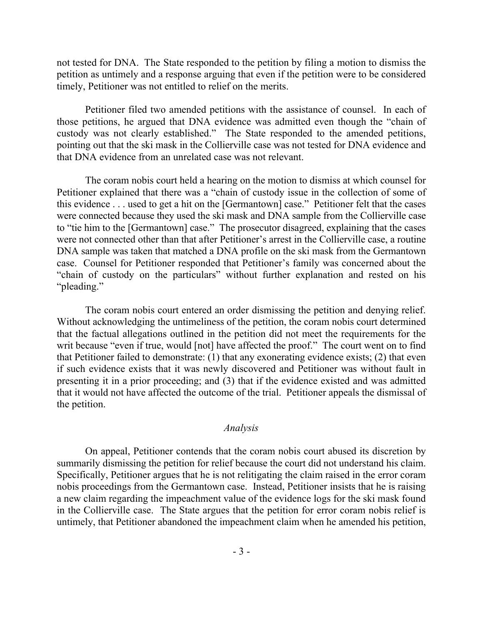not tested for DNA. The State responded to the petition by filing a motion to dismiss the petition as untimely and a response arguing that even if the petition were to be considered timely, Petitioner was not entitled to relief on the merits.

Petitioner filed two amended petitions with the assistance of counsel. In each of those petitions, he argued that DNA evidence was admitted even though the "chain of custody was not clearly established." The State responded to the amended petitions, pointing out that the ski mask in the Collierville case was not tested for DNA evidence and that DNA evidence from an unrelated case was not relevant.

The coram nobis court held a hearing on the motion to dismiss at which counsel for Petitioner explained that there was a "chain of custody issue in the collection of some of this evidence . . . used to get a hit on the [Germantown] case." Petitioner felt that the cases were connected because they used the ski mask and DNA sample from the Collierville case to "tie him to the [Germantown] case." The prosecutor disagreed, explaining that the cases were not connected other than that after Petitioner's arrest in the Collierville case, a routine DNA sample was taken that matched a DNA profile on the ski mask from the Germantown case. Counsel for Petitioner responded that Petitioner's family was concerned about the "chain of custody on the particulars" without further explanation and rested on his "pleading."

The coram nobis court entered an order dismissing the petition and denying relief. Without acknowledging the untimeliness of the petition, the coram nobis court determined that the factual allegations outlined in the petition did not meet the requirements for the writ because "even if true, would [not] have affected the proof." The court went on to find that Petitioner failed to demonstrate: (1) that any exonerating evidence exists; (2) that even if such evidence exists that it was newly discovered and Petitioner was without fault in presenting it in a prior proceeding; and (3) that if the evidence existed and was admitted that it would not have affected the outcome of the trial. Petitioner appeals the dismissal of the petition.

#### *Analysis*

On appeal, Petitioner contends that the coram nobis court abused its discretion by summarily dismissing the petition for relief because the court did not understand his claim. Specifically, Petitioner argues that he is not relitigating the claim raised in the error coram nobis proceedings from the Germantown case. Instead, Petitioner insists that he is raising a new claim regarding the impeachment value of the evidence logs for the ski mask found in the Collierville case. The State argues that the petition for error coram nobis relief is untimely, that Petitioner abandoned the impeachment claim when he amended his petition,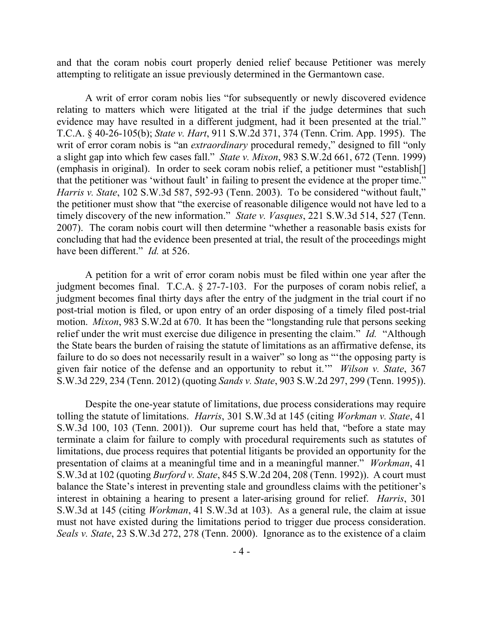and that the coram nobis court properly denied relief because Petitioner was merely attempting to relitigate an issue previously determined in the Germantown case.

A writ of error coram nobis lies "for subsequently or newly discovered evidence relating to matters which were litigated at the trial if the judge determines that such evidence may have resulted in a different judgment, had it been presented at the trial." T.C.A. § 40-26-105(b); *State v. Hart*, 911 S.W.2d 371, 374 (Tenn. Crim. App. 1995). The writ of error coram nobis is "an *extraordinary* procedural remedy," designed to fill "only a slight gap into which few cases fall." *State v. Mixon*, 983 S.W.2d 661, 672 (Tenn. 1999) (emphasis in original). In order to seek coram nobis relief, a petitioner must "establish[] that the petitioner was 'without fault' in failing to present the evidence at the proper time." *Harris v. State*, 102 S.W.3d 587, 592-93 (Tenn. 2003). To be considered "without fault," the petitioner must show that "the exercise of reasonable diligence would not have led to a timely discovery of the new information." *State v. Vasques*, 221 S.W.3d 514, 527 (Tenn. 2007). The coram nobis court will then determine "whether a reasonable basis exists for concluding that had the evidence been presented at trial, the result of the proceedings might have been different." *Id.* at 526.

A petition for a writ of error coram nobis must be filed within one year after the judgment becomes final. T.C.A. § 27-7-103. For the purposes of coram nobis relief, a judgment becomes final thirty days after the entry of the judgment in the trial court if no post-trial motion is filed, or upon entry of an order disposing of a timely filed post-trial motion. *Mixon*, 983 S.W.2d at 670. It has been the "longstanding rule that persons seeking relief under the writ must exercise due diligence in presenting the claim." *Id.* "Although the State bears the burden of raising the statute of limitations as an affirmative defense, its failure to do so does not necessarily result in a waiver" so long as "the opposing party is given fair notice of the defense and an opportunity to rebut it.'" *Wilson v. State*, 367 S.W.3d 229, 234 (Tenn. 2012) (quoting *Sands v. State*, 903 S.W.2d 297, 299 (Tenn. 1995)).

Despite the one-year statute of limitations, due process considerations may require tolling the statute of limitations. *Harris*, 301 S.W.3d at 145 (citing *Workman v. State*, 41 S.W.3d 100, 103 (Tenn. 2001)). Our supreme court has held that, "before a state may terminate a claim for failure to comply with procedural requirements such as statutes of limitations, due process requires that potential litigants be provided an opportunity for the presentation of claims at a meaningful time and in a meaningful manner." *Workman*, 41 S.W.3d at 102 (quoting *Burford v. State*, 845 S.W.2d 204, 208 (Tenn. 1992)). A court must balance the State's interest in preventing stale and groundless claims with the petitioner's interest in obtaining a hearing to present a later-arising ground for relief. *Harris*, 301 S.W.3d at 145 (citing *Workman*, 41 S.W.3d at 103). As a general rule, the claim at issue must not have existed during the limitations period to trigger due process consideration. *Seals v. State*, 23 S.W.3d 272, 278 (Tenn. 2000). Ignorance as to the existence of a claim